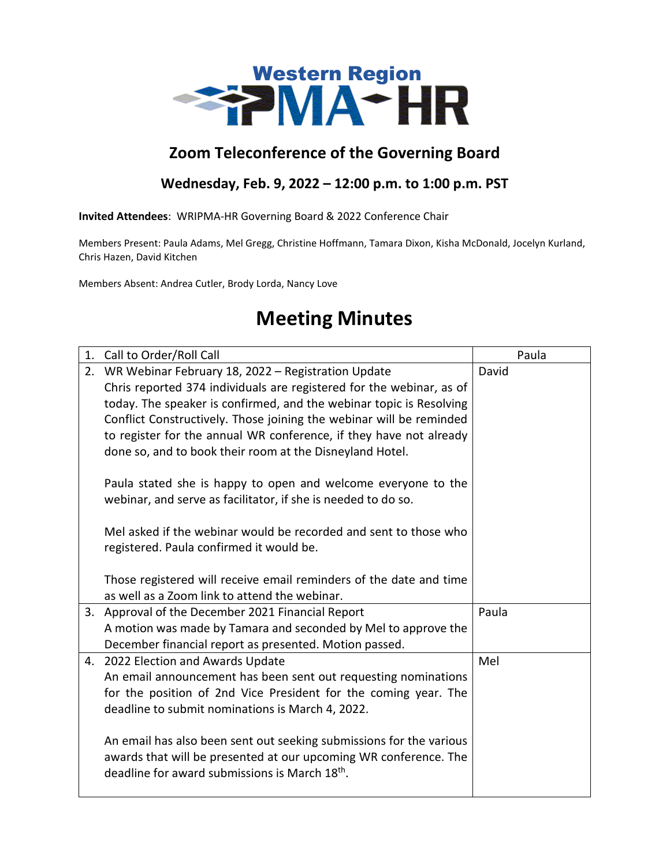

## **Zoom Teleconference of the Governing Board**

## **Wednesday, Feb. 9, 2022 – 12:00 p.m. to 1:00 p.m. PST**

**Invited Attendees**: WRIPMA-HR Governing Board & 2022 Conference Chair

Members Present: Paula Adams, Mel Gregg, Christine Hoffmann, Tamara Dixon, Kisha McDonald, Jocelyn Kurland, Chris Hazen, David Kitchen

Members Absent: Andrea Cutler, Brody Lorda, Nancy Love

## **Meeting Minutes**

| 1. | Call to Order/Roll Call                                                                                                        | Paula |
|----|--------------------------------------------------------------------------------------------------------------------------------|-------|
| 2. | WR Webinar February 18, 2022 - Registration Update                                                                             | David |
|    | Chris reported 374 individuals are registered for the webinar, as of                                                           |       |
|    | today. The speaker is confirmed, and the webinar topic is Resolving                                                            |       |
|    | Conflict Constructively. Those joining the webinar will be reminded                                                            |       |
|    | to register for the annual WR conference, if they have not already                                                             |       |
|    | done so, and to book their room at the Disneyland Hotel.                                                                       |       |
|    | Paula stated she is happy to open and welcome everyone to the                                                                  |       |
|    | webinar, and serve as facilitator, if she is needed to do so.                                                                  |       |
|    |                                                                                                                                |       |
|    | Mel asked if the webinar would be recorded and sent to those who                                                               |       |
|    | registered. Paula confirmed it would be.                                                                                       |       |
|    |                                                                                                                                |       |
|    | Those registered will receive email reminders of the date and time                                                             |       |
|    | as well as a Zoom link to attend the webinar.                                                                                  |       |
| 3. | Approval of the December 2021 Financial Report                                                                                 | Paula |
|    | A motion was made by Tamara and seconded by Mel to approve the                                                                 |       |
|    | December financial report as presented. Motion passed.                                                                         |       |
|    | 4. 2022 Election and Awards Update                                                                                             | Mel   |
|    | An email announcement has been sent out requesting nominations                                                                 |       |
|    | for the position of 2nd Vice President for the coming year. The                                                                |       |
|    | deadline to submit nominations is March 4, 2022.                                                                               |       |
|    | An email has also been sent out seeking submissions for the various                                                            |       |
|    |                                                                                                                                |       |
|    | awards that will be presented at our upcoming WR conference. The<br>deadline for award submissions is March 18 <sup>th</sup> . |       |
|    |                                                                                                                                |       |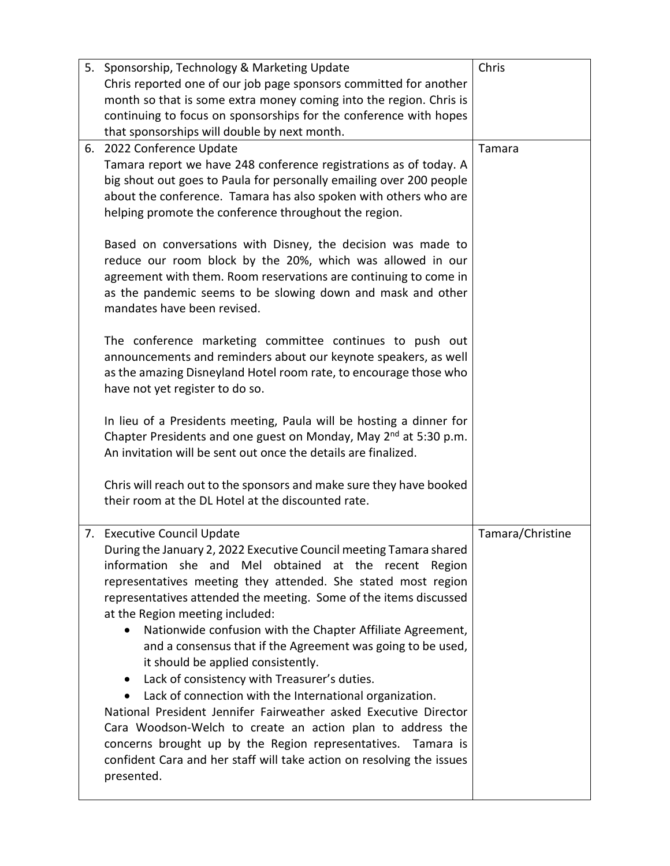| 5. Sponsorship, Technology & Marketing Update                                | Chris            |
|------------------------------------------------------------------------------|------------------|
| Chris reported one of our job page sponsors committed for another            |                  |
| month so that is some extra money coming into the region. Chris is           |                  |
| continuing to focus on sponsorships for the conference with hopes            |                  |
| that sponsorships will double by next month.                                 |                  |
| 6. 2022 Conference Update                                                    | Tamara           |
| Tamara report we have 248 conference registrations as of today. A            |                  |
| big shout out goes to Paula for personally emailing over 200 people          |                  |
| about the conference. Tamara has also spoken with others who are             |                  |
| helping promote the conference throughout the region.                        |                  |
|                                                                              |                  |
| Based on conversations with Disney, the decision was made to                 |                  |
| reduce our room block by the 20%, which was allowed in our                   |                  |
| agreement with them. Room reservations are continuing to come in             |                  |
| as the pandemic seems to be slowing down and mask and other                  |                  |
| mandates have been revised.                                                  |                  |
|                                                                              |                  |
| The conference marketing committee continues to push out                     |                  |
| announcements and reminders about our keynote speakers, as well              |                  |
| as the amazing Disneyland Hotel room rate, to encourage those who            |                  |
| have not yet register to do so.                                              |                  |
|                                                                              |                  |
| In lieu of a Presidents meeting, Paula will be hosting a dinner for          |                  |
| Chapter Presidents and one guest on Monday, May 2 <sup>nd</sup> at 5:30 p.m. |                  |
| An invitation will be sent out once the details are finalized.               |                  |
|                                                                              |                  |
| Chris will reach out to the sponsors and make sure they have booked          |                  |
| their room at the DL Hotel at the discounted rate.                           |                  |
|                                                                              |                  |
| 7. Executive Council Update                                                  | Tamara/Christine |
| During the January 2, 2022 Executive Council meeting Tamara shared           |                  |
| information she and Mel obtained at the recent Region                        |                  |
| representatives meeting they attended. She stated most region                |                  |
| representatives attended the meeting. Some of the items discussed            |                  |
| at the Region meeting included:                                              |                  |
| Nationwide confusion with the Chapter Affiliate Agreement,                   |                  |
| and a consensus that if the Agreement was going to be used,                  |                  |
| it should be applied consistently.                                           |                  |
| Lack of consistency with Treasurer's duties.<br>$\bullet$                    |                  |
| Lack of connection with the International organization.                      |                  |
| National President Jennifer Fairweather asked Executive Director             |                  |
| Cara Woodson-Welch to create an action plan to address the                   |                  |
| concerns brought up by the Region representatives. Tamara is                 |                  |
| confident Cara and her staff will take action on resolving the issues        |                  |
| presented.                                                                   |                  |
|                                                                              |                  |